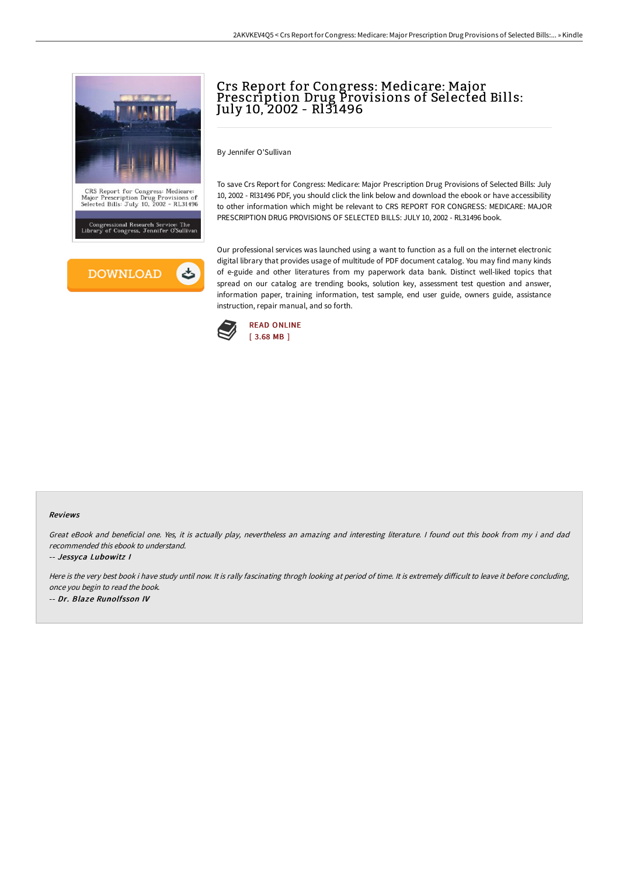



# Crs Report for Congress: Medicare: Major Prescription Drug Provisions of Selected Bills: July 10, 2002 - Rl31496

By Jennifer O'Sullivan

To save Crs Report for Congress: Medicare: Major Prescription Drug Provisions of Selected Bills: July 10, 2002 - Rl31496 PDF, you should click the link below and download the ebook or have accessibility to other information which might be relevant to CRS REPORT FOR CONGRESS: MEDICARE: MAJOR PRESCRIPTION DRUG PROVISIONS OF SELECTED BILLS: JULY 10, 2002 - RL31496 book.

Our professional services was launched using a want to function as a full on the internet electronic digital library that provides usage of multitude of PDF document catalog. You may find many kinds of e-guide and other literatures from my paperwork data bank. Distinct well-liked topics that spread on our catalog are trending books, solution key, assessment test question and answer, information paper, training information, test sample, end user guide, owners guide, assistance instruction, repair manual, and so forth.



#### Reviews

Great eBook and beneficial one. Yes, it is actually play, nevertheless an amazing and interesting literature. <sup>I</sup> found out this book from my i and dad recommended this ebook to understand.

-- Jessyca Lubowitz I

Here is the very best book i have study until now. It is rally fascinating throgh looking at period of time. It is extremely difficult to leave it before concluding, once you begin to read the book. -- Dr. Blaze Runolfsson IV